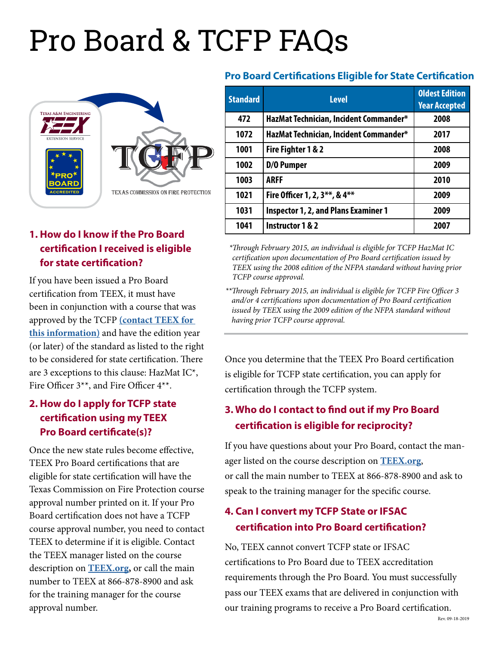# Pro Board & TCFP FAQs



# **1. How do I know if the Pro Board certification I received is eligible for state certification?**

If you have been issued a Pro Board certification from TEEX, it must have been in conjunction with a course that was approved by the TCFP **[\(contact TEEX for](mailto:estiproboard%40teex.tamu.edu?subject=Pro%20Board%20Certification)  [this information\)](mailto:estiproboard%40teex.tamu.edu?subject=Pro%20Board%20Certification)** and have the edition year (or later) of the standard as listed to the right to be considered for state certification. There are 3 exceptions to this clause: HazMat IC\*, Fire Officer 3\*\*, and Fire Officer 4\*\*.

## **2. How do I apply for TCFP state certification using my TEEX Pro Board certificate(s)?**

Once the new state rules become effective, TEEX Pro Board certifications that are eligible for state certification will have the Texas Commission on Fire Protection course approval number printed on it. If your Pro Board certification does not have a TCFP course approval number, you need to contact TEEX to determine if it is eligible. Contact the TEEX manager listed on the course description on **[TEEX.org,](http://TEEX.org/Fire)** or call the main number to TEEX at 866-878-8900 and ask for the training manager for the course approval number.

#### **Pro Board Certifications Eligible for State Certification**

| <b>Standard</b> | <b>Level</b>                                | <b>Oldest Edition</b><br><b>Year Accepted</b> |
|-----------------|---------------------------------------------|-----------------------------------------------|
| 472             | HazMat Technician, Incident Commander*      | 2008                                          |
| 1072            | HazMat Technician, Incident Commander*      | 2017                                          |
| 1001            | Fire Fighter 1 & 2                          | 2008                                          |
| 1002            | D/0 Pumper                                  | 2009                                          |
| 1003            | <b>ARFF</b>                                 | 2010                                          |
| 1021            | Fire Officer 1, 2, 3**, & 4**               | 2009                                          |
| 1031            | <b>Inspector 1, 2, and Plans Examiner 1</b> | 2009                                          |
| 1041            | <b>Instructor 1 &amp; 2</b>                 | 2007                                          |

 *\*Through February 2015, an individual is eligible for TCFP HazMat IC certification upon documentation of Pro Board certification issued by TEEX using the 2008 edition of the NFPA standard without having prior TCFP course approval.* 

*\*\*Through February 2015, an individual is eligible for TCFP Fire Officer 3 and/or 4 certifications upon documentation of Pro Board certification issued by TEEX using the 2009 edition of the NFPA standard without having prior TCFP course approval.*

Once you determine that the TEEX Pro Board certification is eligible for TCFP state certification, you can apply for certification through the TCFP system.

# **3. Who do I contact to find out if my Pro Board certification is eligible for reciprocity?**

If you have questions about your Pro Board, contact the manager listed on the course description on **[TEEX.org](http://TEEX.org/Fire)**, or call the main number to TEEX at 866-878-8900 and ask to speak to the training manager for the specific course.

# **4. Can I convert my TCFP State or IFSAC certification into Pro Board certification?**

No, TEEX cannot convert TCFP state or IFSAC certifications to Pro Board due to TEEX accreditation requirements through the Pro Board. You must successfully pass our TEEX exams that are delivered in conjunction with our training programs to receive a Pro Board certification.